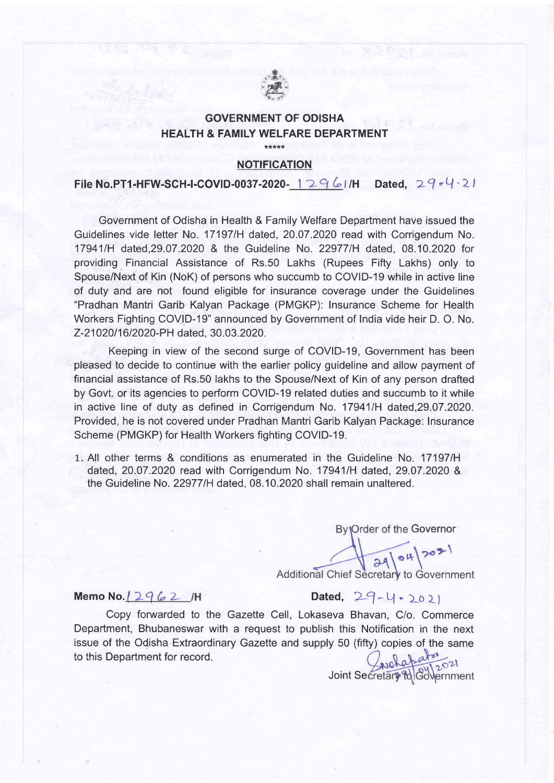

#### GOVERNMENT OF ODISHA HEALTH & FAMILY WELFARE DEPARTMENT \*\*\*\*\*

#### **NOTIFICATION**

File No.PT1-HFW-SCH-I-COVID-0037-2020-  $1296/H$  Dated,  $290/2/$ 

Government of Odisha in Health & Family Welfare Department have issued the Guidelines vide letter No. 171971H dated, 20.07.2020 read with Corrigendum No. 17941/H dated, 29.07.2020 & the Guideline No. 22977/H dated, 08.10.2020 for providing Financial Assistance of Rs.50 Lakhs (Rupees Fifty Lakhs) only to Spouse/Next of Kin (NoK) of persons who succumb to COVID-19 while in active line of duty and are not found eligible for insurance coverage under the Guidelines "Pradhan Mantri Garib Kalyan Package (PMGKP): Insurance Scheme for Health Workers Fighting COVID-19" announced by Government of India vide heir D. O. No. Z-21020/16/2020-PH dated, 30.03.2020.

Keeping in view of the second surge of COVID-19, Government has been pleased to decide to continue with the earlier policy guideline and allow payment of financial assistance of Rs.50 lakhs to the Spouse/Next of Kin of any person drafted by Govt. or its agencies to perform COVID-19 related duties and succumb to it while in active line of duty as defined in Corrigendum No. 179411H dated,29.07.2020. Provided, he is not covered under Pradhan Mantri Garib Kalyan Package: Insurance Scheme (PMGKP) for Health Workers fighting COVID-19.

1. All other terms & conditions as enumerated in the Guideline No. 171971H dated, 20.07.2020 read with Corrigendum No. 17941/H dated, 29.07.2020 & the Guideline No. 22977/H dated, 08.10.2020 shall remain unaltered.

By Order of the Governor

 $29|04|202|$ 

Additional Chief Secretary to Government

#### Memo No. | 2962 /H

Dated,  $29 - 4 - 2021$ 

Copy forwarded to the Gazette Cell, Lokaseva Bhavan, C/o. Commerce Department, Bhubaneswar with a request to publish this Notification in the next issue of the Odisha.Extraordinary Gazette and supply 50 (fifty) copies of the same to this Department for record.

Joint Secretary 10 Government